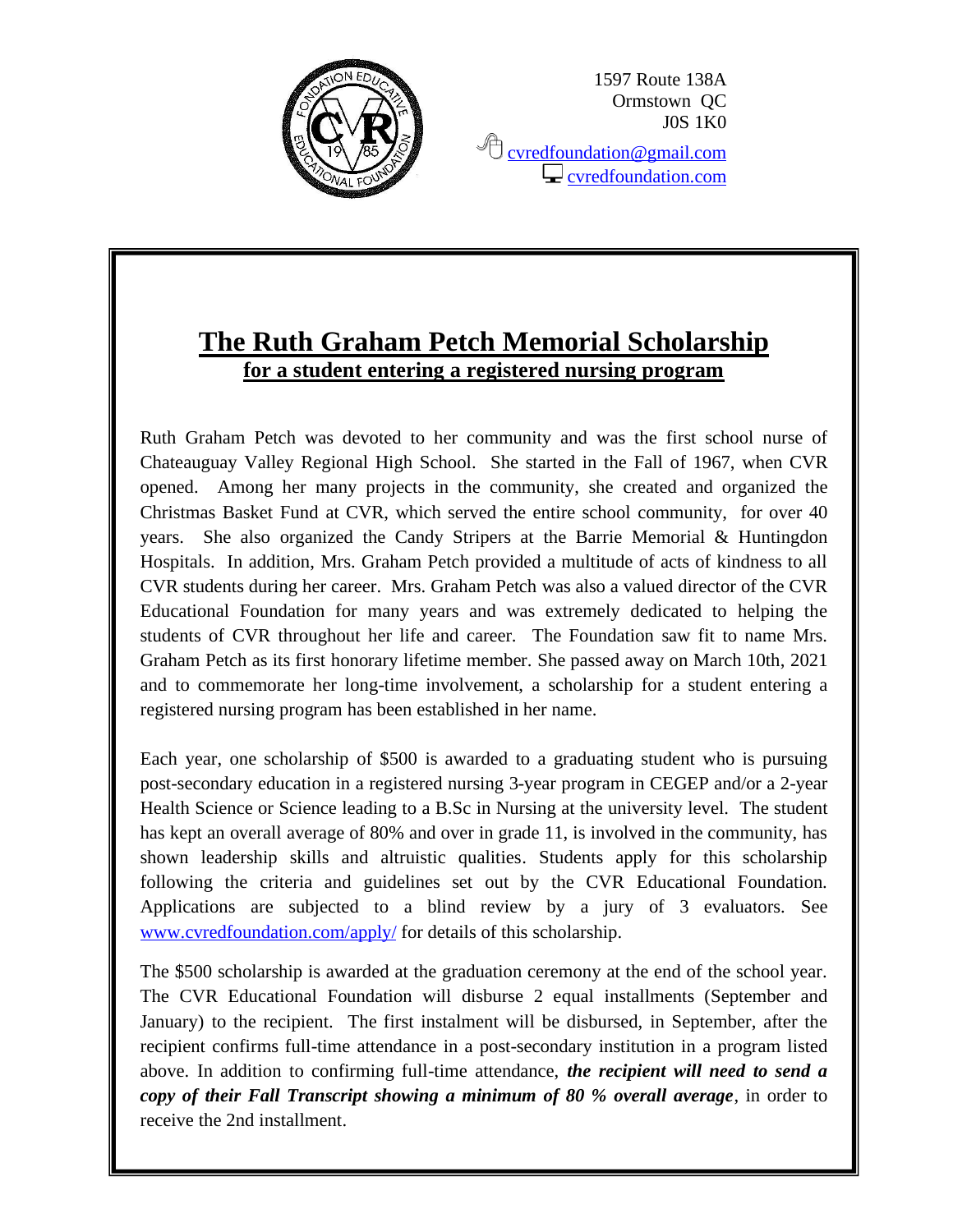

1597 Route 138A Ormstown QC J0S 1K0

<sup></sub><sup></sub> [cvredfoundation@gmail.com](mailto:cvredfoundation@gmail.com)</sup></sup>  $\Box$  [cvredfoundation.com](http://www.cvredfoundation.com/)

# **The Ruth Graham Petch Memorial Scholarship for a student entering a registered nursing program**

Ruth Graham Petch was devoted to her community and was the first school nurse of Chateauguay Valley Regional High School. She started in the Fall of 1967, when CVR opened. Among her many projects in the community, she created and organized the Christmas Basket Fund at CVR, which served the entire school community, for over 40 years. She also organized the Candy Stripers at the Barrie Memorial & Huntingdon Hospitals. In addition, Mrs. Graham Petch provided a multitude of acts of kindness to all CVR students during her career. Mrs. Graham Petch was also a valued director of the CVR Educational Foundation for many years and was extremely dedicated to helping the students of CVR throughout her life and career. The Foundation saw fit to name Mrs. Graham Petch as its first honorary lifetime member. She passed away on March 10th, 2021 and to commemorate her long-time involvement, a scholarship for a student entering a registered nursing program has been established in her name.

Each year, one scholarship of \$500 is awarded to a graduating student who is pursuing post-secondary education in a registered nursing 3-year program in CEGEP and/or a 2-year Health Science or Science leading to a B.Sc in Nursing at the university level. The student has kept an overall average of 80% and over in grade 11, is involved in the community, has shown leadership skills and altruistic qualities. Students apply for this scholarship following the criteria and guidelines set out by the CVR Educational Foundation. Applications are subjected to a blind review by a jury of 3 evaluators. See [www.cvredfoundation.com/apply/](http://www.cvredfoundation.com/apply/) for details of this scholarship.

The \$500 scholarship is awarded at the graduation ceremony at the end of the school year. The CVR Educational Foundation will disburse 2 equal installments (September and January) to the recipient. The first instalment will be disbursed, in September, after the recipient confirms full-time attendance in a post-secondary institution in a program listed above. In addition to confirming full-time attendance, *the recipient will need to send a copy of their Fall Transcript showing a minimum of 80 % overall average*, in order to receive the 2nd installment.